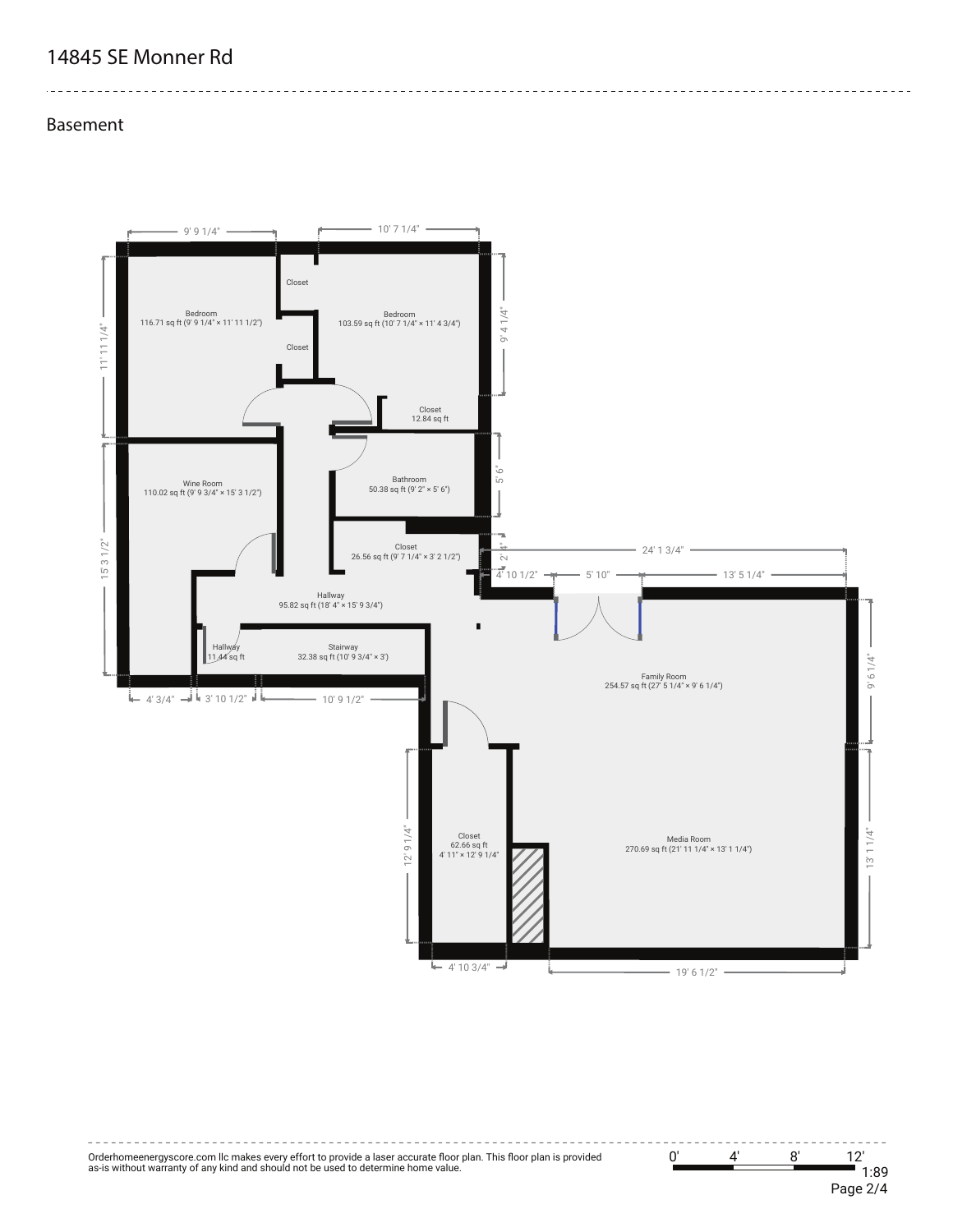# **14845 SE Monner Rd**

#### **Basement**





-----------------------------------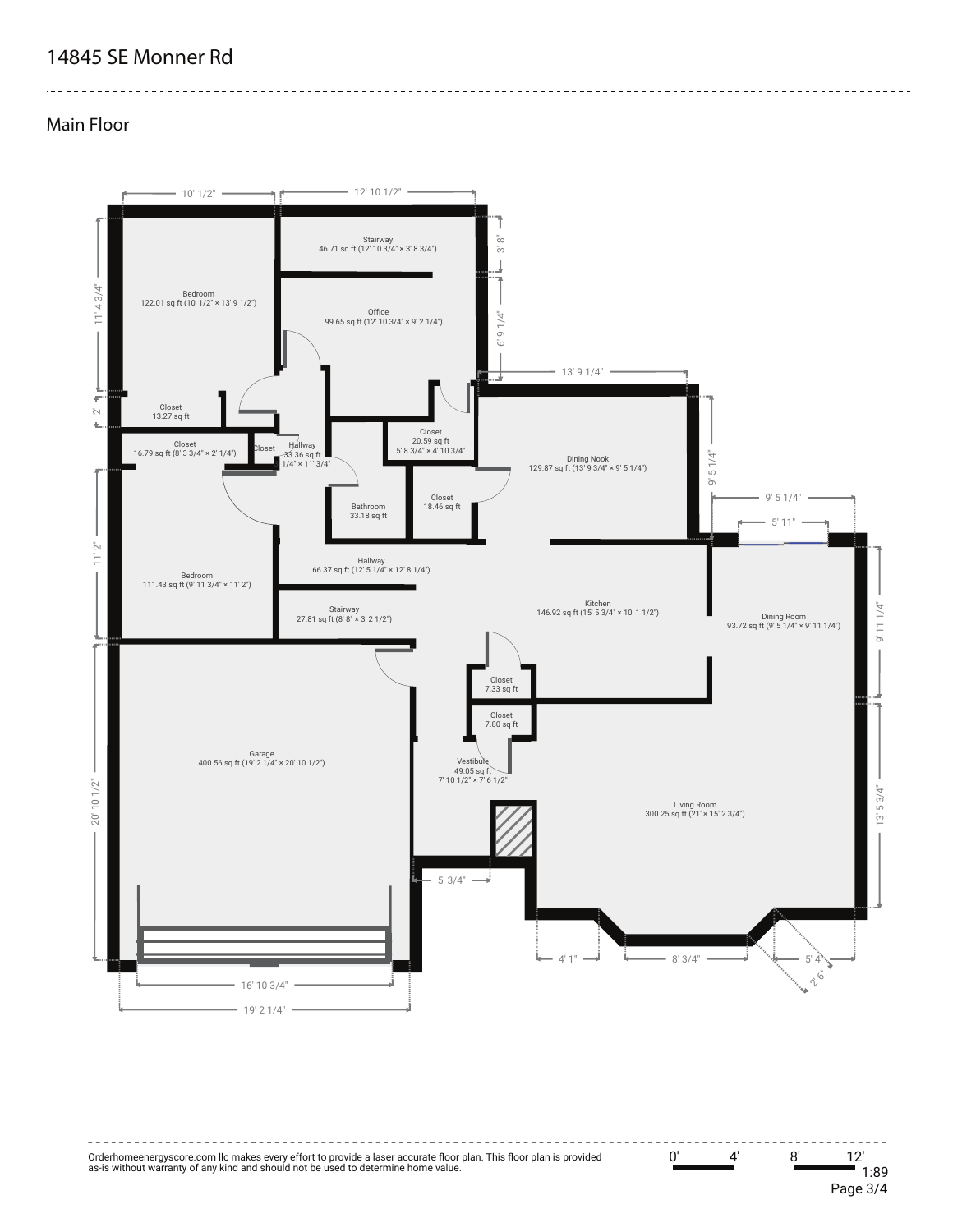# **14845 SE Monner Rd**

#### **Main Floor**





-----------------------------------